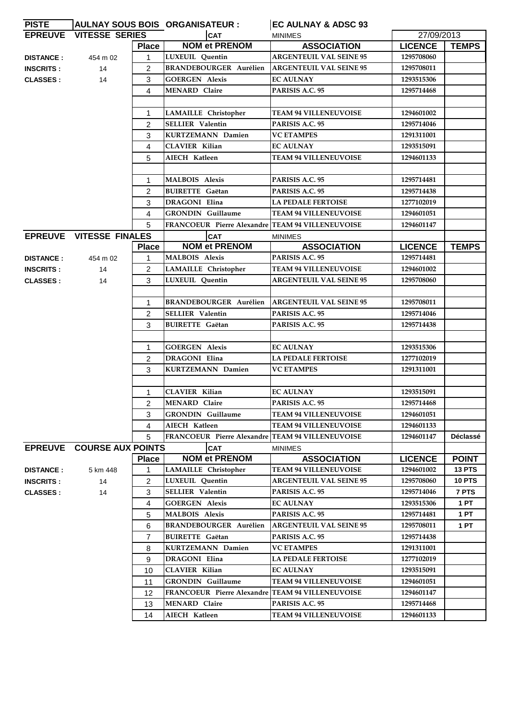| <b>PISTE</b>     |                                  |                | AULNAY SOUS BOIS ORGANISATEUR :                  | EC AULNAY & ADSC 93                                |                |                               |
|------------------|----------------------------------|----------------|--------------------------------------------------|----------------------------------------------------|----------------|-------------------------------|
|                  | <b>EPREUVE VITESSE SERIES</b>    |                | <b>CAT</b>                                       | <b>MINIMES</b>                                     | 27/09/2013     |                               |
|                  |                                  | <b>Place</b>   | <b>NOM et PRENOM</b>                             | <b>ASSOCIATION</b>                                 | <b>LICENCE</b> | <b>TEMPS</b>                  |
| <b>DISTANCE:</b> | 454 m 02                         | 1              | LUXEUIL Quentin                                  | <b>ARGENTEUIL VAL SEINE 95</b>                     | 1295708060     |                               |
| <b>INSCRITS:</b> | 14                               | $\overline{2}$ | <b>BRANDEBOURGER Aurélien</b>                    | <b>ARGENTEUIL VAL SEINE 95</b>                     | 1295708011     |                               |
| <b>CLASSES:</b>  | 14                               | 3              | <b>GOERGEN Alexis</b>                            | <b>EC AULNAY</b>                                   | 1293515306     |                               |
|                  |                                  | 4              | <b>MENARD Claire</b>                             | PARISIS A.C. 95                                    | 1295714468     |                               |
|                  |                                  |                |                                                  |                                                    |                |                               |
|                  |                                  | 1              | <b>LAMAILLE</b> Christopher                      | <b>TEAM 94 VILLENEUVOISE</b>                       | 1294601002     |                               |
|                  |                                  | $\overline{2}$ | <b>SELLIER Valentin</b>                          | PARISIS A.C. 95                                    | 1295714046     |                               |
|                  |                                  | 3              | KURTZEMANN Damien                                | <b>VC ETAMPES</b>                                  | 1291311001     |                               |
|                  |                                  | 4              | <b>CLAVIER Kilian</b>                            | <b>EC AULNAY</b>                                   | 1293515091     |                               |
|                  |                                  | 5              | AIECH Katleen                                    | <b>TEAM 94 VILLENEUVOISE</b>                       | 1294601133     |                               |
|                  |                                  |                |                                                  |                                                    |                |                               |
|                  |                                  | 1              | <b>MALBOIS Alexis</b>                            | PARISIS A.C. 95                                    | 1295714481     |                               |
|                  |                                  | 2              | <b>BUIRETTE</b> Gaëtan                           | PARISIS A.C. 95                                    | 1295714438     |                               |
|                  |                                  | 3              | <b>DRAGONI Elina</b>                             | <b>LA PEDALE FERTOISE</b>                          | 1277102019     |                               |
|                  |                                  | 4              | <b>GRONDIN</b> Guillaume                         | <b>TEAM 94 VILLENEUVOISE</b>                       | 1294601051     |                               |
|                  |                                  | 5              | FRANCOEUR Pierre Alexandre TEAM 94 VILLENEUVOISE |                                                    | 1294601147     |                               |
|                  | <b>EPREUVE VITESSE FINALES</b>   |                | <b>CAT</b>                                       | <b>MINIMES</b>                                     |                |                               |
|                  |                                  | <b>Place</b>   | <b>NOM et PRENOM</b>                             | <b>ASSOCIATION</b>                                 | <b>LICENCE</b> | <b>TEMPS</b>                  |
| <b>DISTANCE:</b> | 454 m 02                         | $\mathbf{1}$   | <b>MALBOIS Alexis</b>                            | PARISIS A.C. 95                                    | 1295714481     |                               |
| <b>INSCRITS:</b> | 14                               | $\overline{2}$ | LAMAILLE Christopher                             | <b>TEAM 94 VILLENEUVOISE</b>                       | 1294601002     |                               |
| <b>CLASSES:</b>  | 14                               | 3              | LUXEUIL Quentin                                  | <b>ARGENTEUIL VAL SEINE 95</b>                     | 1295708060     |                               |
|                  |                                  |                |                                                  |                                                    |                |                               |
|                  |                                  | 1              | <b>BRANDEBOURGER Aurélien</b>                    | <b>ARGENTEUIL VAL SEINE 95</b>                     | 1295708011     |                               |
|                  |                                  | $\overline{2}$ | <b>SELLIER Valentin</b>                          | PARISIS A.C. 95                                    | 1295714046     |                               |
|                  |                                  | 3              | <b>BUIRETTE Gaëtan</b>                           | PARISIS A.C. 95                                    | 1295714438     |                               |
|                  |                                  |                |                                                  |                                                    |                |                               |
|                  |                                  | 1              | <b>GOERGEN Alexis</b>                            | <b>EC AULNAY</b>                                   | 1293515306     |                               |
|                  |                                  | $\overline{2}$ | <b>DRAGONI Elina</b>                             | <b>LA PEDALE FERTOISE</b>                          | 1277102019     |                               |
|                  |                                  | 3              | <b>KURTZEMANN Damien</b>                         | <b>VC ETAMPES</b>                                  | 1291311001     |                               |
|                  |                                  |                |                                                  |                                                    |                |                               |
|                  |                                  | 1              | <b>CLAVIER Kilian</b>                            | <b>EC AULNAY</b>                                   | 1293515091     |                               |
|                  |                                  | 2              | MENARD Claire                                    | PARISIS A.C. 95                                    | 1295714468     |                               |
|                  |                                  | 3              | <b>GRONDIN</b> Guillaume                         | <b>TEAM 94 VILLENEUVOISE</b>                       | 1294601051     |                               |
|                  |                                  | 4              | AIECH Katleen                                    | <b>TEAM 94 VILLENEUVOISE</b>                       | 1294601133     |                               |
|                  |                                  | 5              | FRANCOEUR Pierre Alexandre TEAM 94 VILLENEUVOISE |                                                    | 1294601147     | <b>Déclassé</b>               |
|                  | <b>EPREUVE COURSE AUX POINTS</b> | <b>Place</b>   | <b>CAT</b><br><b>NOM et PRENOM</b>               | <b>MINIMES</b>                                     | <b>LICENCE</b> |                               |
| <b>DISTANCE:</b> | 5 km 448                         | 1              | <b>LAMAILLE</b> Christopher                      | <b>ASSOCIATION</b><br><b>TEAM 94 VILLENEUVOISE</b> | 1294601002     | <b>POINT</b><br><b>13 PTS</b> |
| <b>INSCRITS:</b> | 14                               | 2              | LUXEUIL Quentin                                  | <b>ARGENTEUIL VAL SEINE 95</b>                     | 1295708060     | <b>10 PTS</b>                 |
| <b>CLASSES:</b>  | 14                               | 3              | <b>SELLIER Valentin</b>                          | PARISIS A.C. 95                                    | 1295714046     | 7 PTS                         |
|                  |                                  | 4              | <b>GOERGEN Alexis</b>                            | <b>EC AULNAY</b>                                   | 1293515306     | 1PT                           |
|                  |                                  | 5              | <b>MALBOIS Alexis</b>                            | PARISIS A.C. 95                                    | 1295714481     | 1PT                           |
|                  |                                  | 6              | <b>BRANDEBOURGER Aurélien</b>                    | <b>ARGENTEUIL VAL SEINE 95</b>                     | 1295708011     | 1PT                           |
|                  |                                  | $\overline{7}$ | <b>BUIRETTE Gaëtan</b>                           | PARISIS A.C. 95                                    | 1295714438     |                               |
|                  |                                  | 8              | KURTZEMANN Damien                                | <b>VC ETAMPES</b>                                  | 1291311001     |                               |
|                  |                                  | 9              | <b>DRAGONI Elina</b>                             | <b>LA PEDALE FERTOISE</b>                          | 1277102019     |                               |
|                  |                                  | 10             | <b>CLAVIER Kilian</b>                            | <b>EC AULNAY</b>                                   | 1293515091     |                               |
|                  |                                  | 11             | <b>GRONDIN</b> Guillaume                         | <b>TEAM 94 VILLENEUVOISE</b>                       | 1294601051     |                               |
|                  |                                  | 12             | FRANCOEUR Pierre Alexandre TEAM 94 VILLENEUVOISE |                                                    | 1294601147     |                               |
|                  |                                  | 13             | <b>MENARD Claire</b>                             | PARISIS A.C. 95                                    | 1295714468     |                               |
|                  |                                  | 14             | AIECH Katleen                                    | <b>TEAM 94 VILLENEUVOISE</b>                       | 1294601133     |                               |
|                  |                                  |                |                                                  |                                                    |                |                               |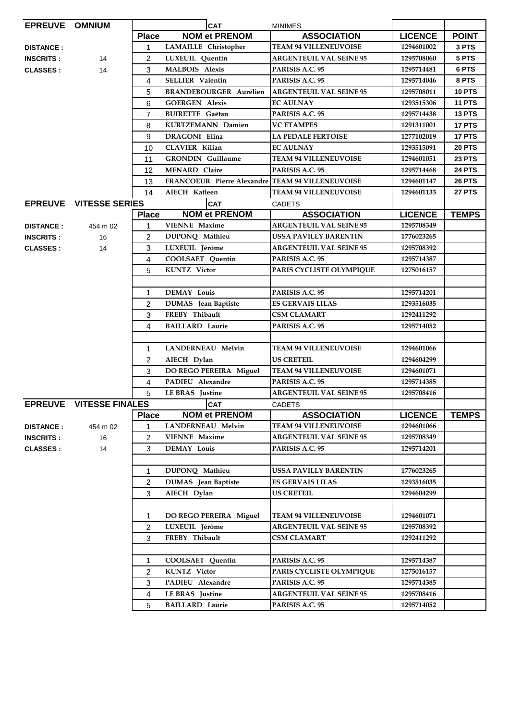| EPREUVE OMNIUM   |                                |                | <b>CAT</b>                                       | <b>MINIMES</b>                 |                |               |
|------------------|--------------------------------|----------------|--------------------------------------------------|--------------------------------|----------------|---------------|
|                  |                                | <b>Place</b>   | <b>NOM et PRENOM</b>                             | <b>ASSOCIATION</b>             | <b>LICENCE</b> | <b>POINT</b>  |
| <b>DISTANCE:</b> |                                | 1              | <b>LAMAILLE</b> Christopher                      | <b>TEAM 94 VILLENEUVOISE</b>   | 1294601002     | 3 PTS         |
| <b>INSCRITS:</b> | 14                             | $\overline{2}$ | LUXEUIL Quentin                                  | <b>ARGENTEUIL VAL SEINE 95</b> | 1295708060     | 5 PTS         |
| <b>CLASSES:</b>  | 14                             | 3              | <b>MALBOIS Alexis</b>                            | PARISIS A.C. 95                | 1295714481     | 6 PTS         |
|                  |                                | 4              | <b>SELLIER Valentin</b>                          | PARISIS A.C. 95                | 1295714046     | 8 PTS         |
|                  |                                | 5              | <b>BRANDEBOURGER Aurélien</b>                    | <b>ARGENTEUIL VAL SEINE 95</b> | 1295708011     | <b>10 PTS</b> |
|                  |                                | 6              | <b>GOERGEN Alexis</b>                            | <b>EC AULNAY</b>               | 1293515306     | <b>11 PTS</b> |
|                  |                                | $\overline{7}$ | <b>BUIRETTE</b> Gaëtan                           | PARISIS A.C. 95                | 1295714438     | <b>13 PTS</b> |
|                  |                                | 8              | <b>KURTZEMANN Damien</b>                         | <b>VC ETAMPES</b>              | 1291311001     | 17 PTS        |
|                  |                                | 9              | <b>DRAGONI Elina</b>                             | <b>LA PEDALE FERTOISE</b>      | 1277102019     | 17 PTS        |
|                  |                                | 10             | <b>CLAVIER Kilian</b>                            | <b>EC AULNAY</b>               | 1293515091     | <b>20 PTS</b> |
|                  |                                | 11             | <b>GRONDIN</b> Guillaume                         | <b>TEAM 94 VILLENEUVOISE</b>   | 1294601051     | <b>23 PTS</b> |
|                  |                                | 12             | <b>MENARD Claire</b>                             | PARISIS A.C. 95                | 1295714468     | <b>24 PTS</b> |
|                  |                                | 13             | FRANCOEUR Pierre Alexandre TEAM 94 VILLENEUVOISE |                                | 1294601147     | <b>26 PTS</b> |
|                  |                                | 14             | AIECH Katleen                                    | <b>TEAM 94 VILLENEUVOISE</b>   | 1294601133     | <b>27 PTS</b> |
|                  | <b>EPREUVE VITESSE SERIES</b>  |                | <b>CAT</b>                                       | <b>CADETS</b>                  |                |               |
|                  |                                | <b>Place</b>   | <b>NOM et PRENOM</b>                             | <b>ASSOCIATION</b>             | <b>LICENCE</b> | <b>TEMPS</b>  |
| <b>DISTANCE:</b> | 454 m 02                       | 1              | <b>VIENNE Maxime</b>                             | <b>ARGENTEUIL VAL SEINE 95</b> | 1295708349     |               |
| <b>INSCRITS:</b> | 16                             | $\overline{2}$ | DUPONQ Mathieu                                   | <b>USSA PAVILLY BARENTIN</b>   | 1776023265     |               |
| <b>CLASSES:</b>  | 14                             | 3              | LUXEUIL Jérôme                                   | <b>ARGENTEUIL VAL SEINE 95</b> | 1295708392     |               |
|                  |                                | 4              | COOLSAET Quentin                                 | PARISIS A.C. 95                | 1295714387     |               |
|                  |                                | 5              | <b>KUNTZ</b> Victor                              | PARIS CYCLISTE OLYMPIQUE       | 1275016157     |               |
|                  |                                |                |                                                  |                                |                |               |
|                  |                                | $\mathbf{1}$   | <b>DEMAY Louis</b>                               | PARISIS A.C. 95                | 1295714201     |               |
|                  |                                | $\overline{2}$ | DUMAS Jean Baptiste                              | <b>ES GERVAIS LILAS</b>        | 1293516035     |               |
|                  |                                | 3              | FREBY Thibault                                   | <b>CSM CLAMART</b>             | 1292411292     |               |
|                  |                                | 4              | <b>BAILLARD Laurie</b>                           | PARISIS A.C. 95                | 1295714052     |               |
|                  |                                |                |                                                  |                                |                |               |
|                  |                                | $\mathbf{1}$   | <b>LANDERNEAU Melvin</b>                         | <b>TEAM 94 VILLENEUVOISE</b>   | 1294601066     |               |
|                  |                                | $\overline{2}$ | AIECH Dylan                                      | <b>US CRETEIL</b>              | 1294604299     |               |
|                  |                                | 3              | DO REGO PEREIRA Miguel                           | <b>TEAM 94 VILLENEUVOISE</b>   | 1294601071     |               |
|                  |                                | $\overline{4}$ | PADIEU Alexandre                                 | PARISIS A.C. 95                | 1295714385     |               |
|                  |                                | 5              | <b>LE BRAS</b> Justine                           | <b>ARGENTEUIL VAL SEINE 95</b> | 1295708416     |               |
|                  | <b>EPREUVE VITESSE FINALES</b> |                | <b>CAT</b>                                       | CADETS                         |                |               |
|                  |                                | <b>Place</b>   | <b>NOM et PRENOM</b>                             | <b>ASSOCIATION</b>             | <b>LICENCE</b> | <b>TEMPS</b>  |
| <b>DISTANCE:</b> | 454 m 02                       | 1              | <b>LANDERNEAU Melvin</b>                         | <b>TEAM 94 VILLENEUVOISE</b>   | 1294601066     |               |
| <b>INSCRITS:</b> | 16                             | $\overline{2}$ | <b>VIENNE Maxime</b>                             | <b>ARGENTEUIL VAL SEINE 95</b> | 1295708349     |               |
| <b>CLASSES:</b>  | 14                             | 3              | <b>DEMAY Louis</b>                               | PARISIS A.C. 95                | 1295714201     |               |
|                  |                                |                |                                                  |                                |                |               |
|                  |                                | $\mathbf{1}$   | DUPONO Mathieu                                   | USSA PAVILLY BARENTIN          | 1776023265     |               |
|                  |                                | $\overline{2}$ | <b>DUMAS</b> Jean Baptiste                       | <b>ES GERVAIS LILAS</b>        | 1293516035     |               |
|                  |                                | 3              | AIECH Dylan                                      | <b>US CRETEIL</b>              | 1294604299     |               |
|                  |                                |                |                                                  |                                |                |               |
|                  |                                | $\mathbf 1$    | DO REGO PEREIRA Miguel                           | <b>TEAM 94 VILLENEUVOISE</b>   | 1294601071     |               |
|                  |                                | $\overline{2}$ | LUXEUIL Jérôme                                   | <b>ARGENTEUIL VAL SEINE 95</b> | 1295708392     |               |
|                  |                                | 3              | FREBY Thibault                                   | <b>CSM CLAMART</b>             | 1292411292     |               |
|                  |                                |                |                                                  |                                |                |               |
|                  |                                | $\mathbf{1}$   | COOLSAET Quentin                                 | PARISIS A.C. 95                | 1295714387     |               |
|                  |                                | $\overline{2}$ | <b>KUNTZ</b> Victor                              | PARIS CYCLISTE OLYMPIQUE       | 1275016157     |               |
|                  |                                | 3              | PADIEU Alexandre                                 | PARISIS A.C. 95                | 1295714385     |               |
|                  |                                | 4              | <b>LE BRAS</b> Justine                           | <b>ARGENTEUIL VAL SEINE 95</b> | 1295708416     |               |
|                  |                                | 5              | <b>BAILLARD Laurie</b>                           | PARISIS A.C. 95                | 1295714052     |               |
|                  |                                |                |                                                  |                                |                |               |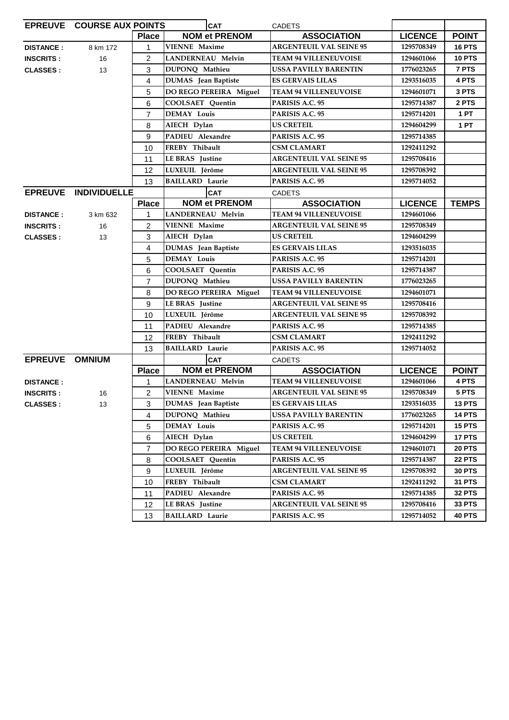| EPREUVE COURSE AUX POINTS |                      |                | <b>CAT</b><br><b>CADETS</b> |                                |                |               |
|---------------------------|----------------------|----------------|-----------------------------|--------------------------------|----------------|---------------|
|                           |                      | <b>Place</b>   | <b>NOM et PRENOM</b>        | <b>ASSOCIATION</b>             | <b>LICENCE</b> | <b>POINT</b>  |
| <b>DISTANCE:</b>          | 8 km 172             | $\mathbf{1}$   | <b>VIENNE</b> Maxime        | <b>ARGENTEUIL VAL SEINE 95</b> | 1295708349     | <b>16 PTS</b> |
| <b>INSCRITS:</b>          | 16                   | $\overline{2}$ | <b>LANDERNEAU Melvin</b>    | <b>TEAM 94 VILLENEUVOISE</b>   | 1294601066     | <b>10 PTS</b> |
| <b>CLASSES:</b>           | 13                   | 3              | DUPONQ Mathieu              | USSA PAVILLY BARENTIN          | 1776023265     | 7 PTS         |
|                           |                      | 4              | <b>DUMAS</b> Jean Baptiste  | <b>ES GERVAIS LILAS</b>        | 1293516035     | 4 PTS         |
|                           |                      | 5              | DO REGO PEREIRA Miguel      | <b>TEAM 94 VILLENEUVOISE</b>   | 1294601071     | 3 PTS         |
|                           |                      | 6              | COOLSAET Quentin            | PARISIS A.C. 95                | 1295714387     | 2 PTS         |
|                           |                      | $\overline{7}$ | <b>DEMAY Louis</b>          | PARISIS A.C. 95                | 1295714201     | 1PT           |
|                           |                      | 8              | AIECH Dylan                 | <b>US CRETEIL</b>              | 1294604299     | 1 PT          |
|                           |                      | 9              | PADIEU Alexandre            | PARISIS A.C. 95                | 1295714385     |               |
|                           |                      | 10             | FREBY Thibault              | <b>CSM CLAMART</b>             | 1292411292     |               |
|                           |                      | 11             | <b>LE BRAS</b> Justine      | <b>ARGENTEUIL VAL SEINE 95</b> | 1295708416     |               |
|                           |                      | 12             | LUXEUIL Jérôme              | <b>ARGENTEUIL VAL SEINE 95</b> | 1295708392     |               |
|                           |                      | 13             | <b>BAILLARD Laurie</b>      | PARISIS A.C. 95                | 1295714052     |               |
|                           | EPREUVE INDIVIDUELLE |                | <b>CAT</b>                  | <b>CADETS</b>                  |                |               |
|                           |                      | <b>Place</b>   | <b>NOM et PRENOM</b>        | <b>ASSOCIATION</b>             | <b>LICENCE</b> | <b>TEMPS</b>  |
| <b>DISTANCE:</b>          | 3 km 632             | $\mathbf{1}$   | <b>LANDERNEAU Melvin</b>    | <b>TEAM 94 VILLENEUVOISE</b>   | 1294601066     |               |
| <b>INSCRITS:</b>          | 16                   | $\overline{2}$ | <b>VIENNE Maxime</b>        | <b>ARGENTEUIL VAL SEINE 95</b> | 1295708349     |               |
| <b>CLASSES:</b>           | 13                   | 3              | AIECH Dylan                 | <b>US CRETEIL</b>              | 1294604299     |               |
|                           |                      | 4              | <b>DUMAS</b> Jean Baptiste  | <b>ES GERVAIS LILAS</b>        | 1293516035     |               |
|                           |                      | 5              | <b>DEMAY Louis</b>          | PARISIS A.C. 95                | 1295714201     |               |
|                           |                      | 6              | COOLSAET Quentin            | PARISIS A.C. 95                | 1295714387     |               |
|                           |                      | $\overline{7}$ | DUPONQ Mathieu              | <b>USSA PAVILLY BARENTIN</b>   | 1776023265     |               |
|                           |                      | 8              | DO REGO PEREIRA Miguel      | <b>TEAM 94 VILLENEUVOISE</b>   | 1294601071     |               |
|                           |                      | 9              | <b>LE BRAS</b> Justine      | <b>ARGENTEUIL VAL SEINE 95</b> | 1295708416     |               |
|                           |                      | 10             | LUXEUIL Jérôme              | <b>ARGENTEUIL VAL SEINE 95</b> | 1295708392     |               |
|                           |                      | 11             | PADIEU Alexandre            | PARISIS A.C. 95                | 1295714385     |               |
|                           |                      | 12             | FREBY Thibault              | <b>CSM CLAMART</b>             | 1292411292     |               |
|                           |                      | 13             | <b>BAILLARD Laurie</b>      | PARISIS A.C. 95                | 1295714052     |               |
| EPREUVE OMNIUM            |                      |                | <b>CAT</b>                  | <b>CADETS</b>                  |                |               |
|                           |                      | <b>Place</b>   | <b>NOM et PRENOM</b>        | <b>ASSOCIATION</b>             | <b>LICENCE</b> | <b>POINT</b>  |
| <b>DISTANCE:</b>          |                      | 1              | LANDERNEAU Melvin           | <b>TEAM 94 VILLENEUVOISE</b>   | 1294601066     | 4 PTS         |
| <b>INSCRITS:</b>          | 16                   | $\overline{2}$ | <b>VIENNE Maxime</b>        | <b>ARGENTEUIL VAL SEINE 95</b> | 1295708349     | 5 PTS         |
| <b>CLASSES:</b>           | 13                   | 3              | DUMAS Jean Baptiste         | <b>ES GERVAIS LILAS</b>        | 1293516035     | <b>13 PTS</b> |
|                           |                      | 4              | DUPONQ Mathieu              | USSA PAVILLY BARENTIN          | 1776023265     | 14 PTS        |
|                           |                      | 5              | <b>DEMAY Louis</b>          | PARISIS A.C. 95                | 1295714201     | <b>15 PTS</b> |
|                           |                      | 6              | AIECH Dylan                 | <b>US CRETEIL</b>              | 1294604299     | 17 PTS        |
|                           |                      | $\overline{7}$ | DO REGO PEREIRA Miguel      | <b>TEAM 94 VILLENEUVOISE</b>   | 1294601071     | 20 PTS        |
|                           |                      | 8              | COOLSAET Quentin            | PARISIS A.C. 95                | 1295714387     | <b>22 PTS</b> |
|                           |                      | 9              | LUXEUIL Jérôme              | <b>ARGENTEUIL VAL SEINE 95</b> | 1295708392     | <b>30 PTS</b> |
|                           |                      | 10             | FREBY Thibault              | <b>CSM CLAMART</b>             | 1292411292     | <b>31 PTS</b> |
|                           |                      | 11             | PADIEU Alexandre            | PARISIS A.C. 95                | 1295714385     | <b>32 PTS</b> |
|                           |                      | 12             | LE BRAS Justine             | <b>ARGENTEUIL VAL SEINE 95</b> | 1295708416     | <b>33 PTS</b> |
|                           |                      | 13             | <b>BAILLARD Laurie</b>      | PARISIS A.C. 95                | 1295714052     | <b>40 PTS</b> |